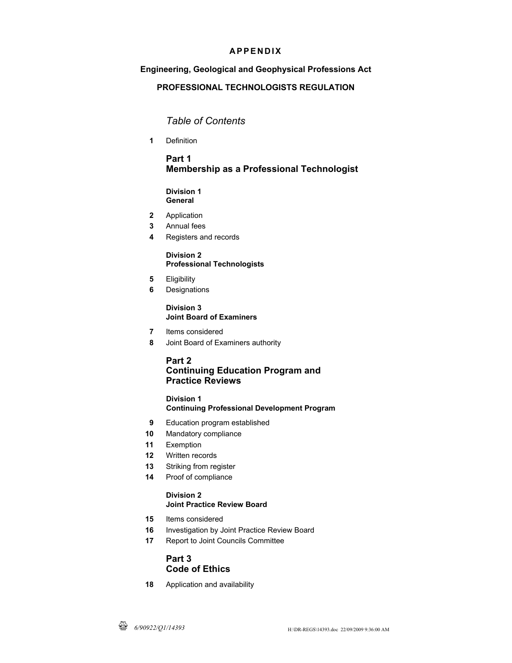## **APPENDIX**

## **Engineering, Geological and Geophysical Professions Act**

## **PROFESSIONAL TECHNOLOGISTS REGULATION**

# *Table of Contents*

**1** Definition

## **Part 1 Membership as a Professional Technologist**

### **Division 1 General**

- **2** Application
- **3** Annual fees
- **4** Registers and records

### **Division 2 Professional Technologists**

- **5** Eligibility
- **6** Designations

## **Division 3 Joint Board of Examiners**

- **7** Items considered
- **8** Joint Board of Examiners authority

## **Part 2 Continuing Education Program and Practice Reviews**

# **Division 1**

## **Continuing Professional Development Program**

- **9** Education program established
- **10** Mandatory compliance
- **11** Exemption
- **12** Written records
- **13** Striking from register
- **14** Proof of compliance

#### **Division 2 Joint Practice Review Board**

- **15** Items considered
- **16** Investigation by Joint Practice Review Board
- **17** Report to Joint Councils Committee

# **Part 3 Code of Ethics**

**18** Application and availability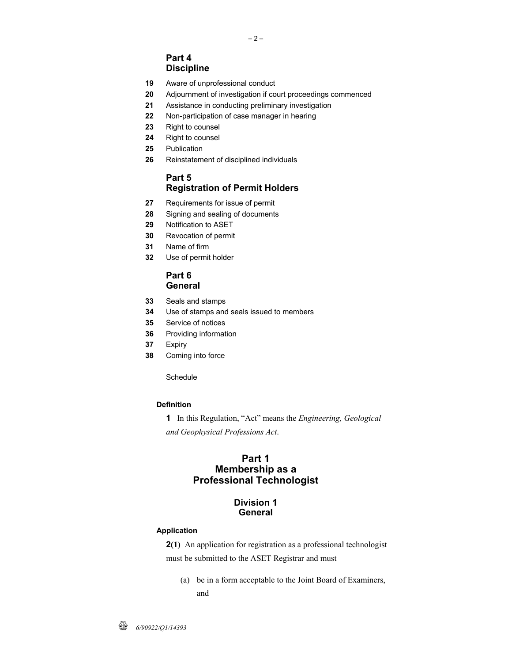# **Part 4 Discipline**

- **19** Aware of unprofessional conduct
- **20** Adjournment of investigation if court proceedings commenced

 $-2-$ 

- **21** Assistance in conducting preliminary investigation
- **22** Non-participation of case manager in hearing
- **23** Right to counsel
- **24** Right to counsel
- **25** Publication
- **26** Reinstatement of disciplined individuals

## **Part 5 Registration of Permit Holders**

- **27** Requirements for issue of permit
- **28** Signing and sealing of documents
- **29** Notification to ASET
- **30** Revocation of permit
- **31** Name of firm
- **32** Use of permit holder

### **Part 6 General**

- **33** Seals and stamps
- **34** Use of stamps and seals issued to members
- **35** Service of notices
- **36** Providing information
- **37** Expiry
- **38** Coming into force

### **Schedule**

### **Definition**

**1** In this Regulation, "Act" means the *Engineering, Geological and Geophysical Professions Act*.

## **Part 1 Membership as a Professional Technologist**

## **Division 1 General**

### **Application**

**2(1)** An application for registration as a professional technologist must be submitted to the ASET Registrar and must

 (a) be in a form acceptable to the Joint Board of Examiners, and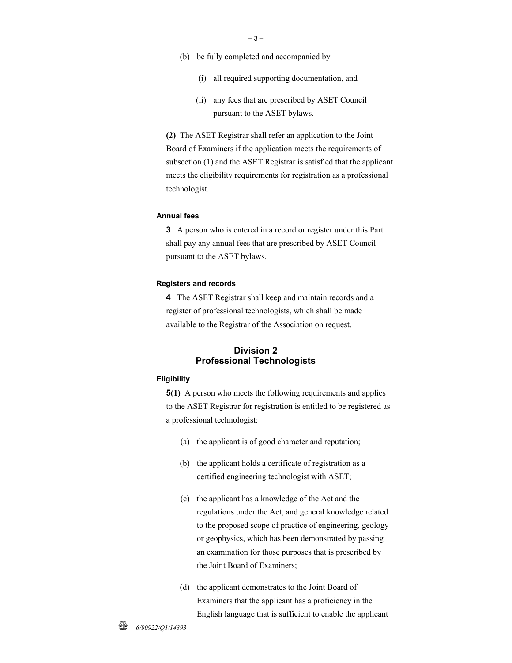- (b) be fully completed and accompanied by
	- (i) all required supporting documentation, and
	- (ii) any fees that are prescribed by ASET Council pursuant to the ASET bylaws.

**(2)** The ASET Registrar shall refer an application to the Joint Board of Examiners if the application meets the requirements of subsection (1) and the ASET Registrar is satisfied that the applicant meets the eligibility requirements for registration as a professional technologist.

### **Annual fees**

**3** A person who is entered in a record or register under this Part shall pay any annual fees that are prescribed by ASET Council pursuant to the ASET bylaws.

#### **Registers and records**

**4** The ASET Registrar shall keep and maintain records and a register of professional technologists, which shall be made available to the Registrar of the Association on request.

### **Division 2 Professional Technologists**

#### **Eligibility**

**5(1)** A person who meets the following requirements and applies to the ASET Registrar for registration is entitled to be registered as a professional technologist:

- (a) the applicant is of good character and reputation;
- (b) the applicant holds a certificate of registration as a certified engineering technologist with ASET;
- (c) the applicant has a knowledge of the Act and the regulations under the Act, and general knowledge related to the proposed scope of practice of engineering, geology or geophysics, which has been demonstrated by passing an examination for those purposes that is prescribed by the Joint Board of Examiners;
- (d) the applicant demonstrates to the Joint Board of Examiners that the applicant has a proficiency in the English language that is sufficient to enable the applicant

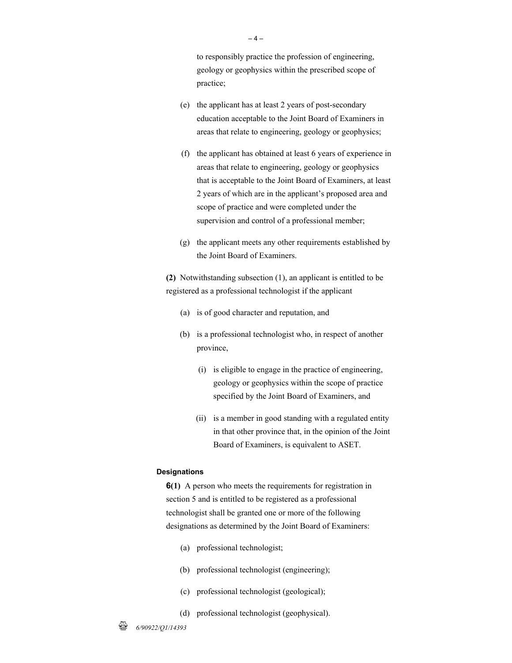to responsibly practice the profession of engineering, geology or geophysics within the prescribed scope of practice;

- (e) the applicant has at least 2 years of post-secondary education acceptable to the Joint Board of Examiners in areas that relate to engineering, geology or geophysics;
- (f) the applicant has obtained at least 6 years of experience in areas that relate to engineering, geology or geophysics that is acceptable to the Joint Board of Examiners, at least 2 years of which are in the applicant's proposed area and scope of practice and were completed under the supervision and control of a professional member;
- (g) the applicant meets any other requirements established by the Joint Board of Examiners.

**(2)** Notwithstanding subsection (1), an applicant is entitled to be registered as a professional technologist if the applicant

- (a) is of good character and reputation, and
- (b) is a professional technologist who, in respect of another province,
	- (i) is eligible to engage in the practice of engineering, geology or geophysics within the scope of practice specified by the Joint Board of Examiners, and
	- (ii) is a member in good standing with a regulated entity in that other province that, in the opinion of the Joint Board of Examiners, is equivalent to ASET.

#### **Designations**

**6(1)** A person who meets the requirements for registration in section 5 and is entitled to be registered as a professional technologist shall be granted one or more of the following designations as determined by the Joint Board of Examiners:

- (a) professional technologist;
- (b) professional technologist (engineering);
- (c) professional technologist (geological);
- (d) professional technologist (geophysical).

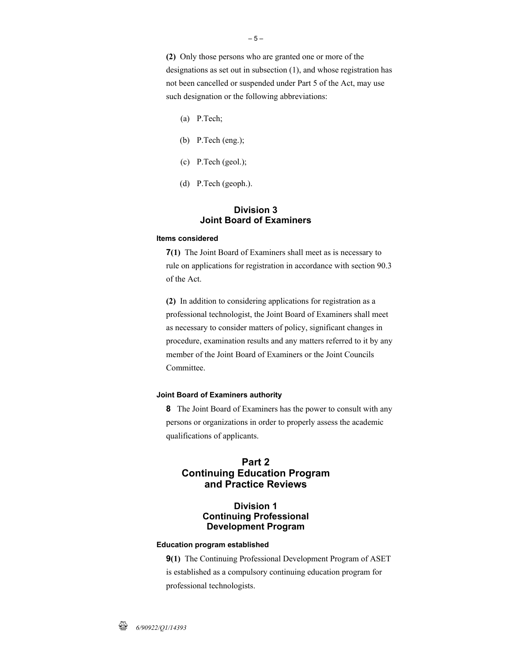**(2)** Only those persons who are granted one or more of the designations as set out in subsection (1), and whose registration has not been cancelled or suspended under Part 5 of the Act, may use such designation or the following abbreviations:

- (a) P.Tech;
- (b) P.Tech (eng.);
- (c) P.Tech (geol.);
- (d) P.Tech (geoph.).

### **Division 3 Joint Board of Examiners**

#### **Items considered**

**7(1)** The Joint Board of Examiners shall meet as is necessary to rule on applications for registration in accordance with section 90.3 of the Act.

**(2)** In addition to considering applications for registration as a professional technologist, the Joint Board of Examiners shall meet as necessary to consider matters of policy, significant changes in procedure, examination results and any matters referred to it by any member of the Joint Board of Examiners or the Joint Councils Committee.

#### **Joint Board of Examiners authority**

**8** The Joint Board of Examiners has the power to consult with any persons or organizations in order to properly assess the academic qualifications of applicants.

## **Part 2 Continuing Education Program and Practice Reviews**

## **Division 1 Continuing Professional Development Program**

#### **Education program established**

**9(1)** The Continuing Professional Development Program of ASET is established as a compulsory continuing education program for professional technologists.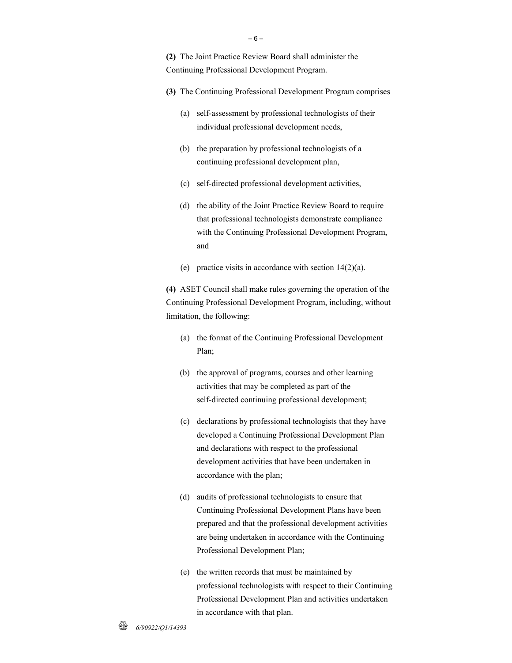**(2)** The Joint Practice Review Board shall administer the Continuing Professional Development Program.

- **(3)** The Continuing Professional Development Program comprises
	- (a) self-assessment by professional technologists of their individual professional development needs,
	- (b) the preparation by professional technologists of a continuing professional development plan,
	- (c) self-directed professional development activities,
	- (d) the ability of the Joint Practice Review Board to require that professional technologists demonstrate compliance with the Continuing Professional Development Program, and
	- (e) practice visits in accordance with section 14(2)(a).

**(4)** ASET Council shall make rules governing the operation of the Continuing Professional Development Program, including, without limitation, the following:

- (a) the format of the Continuing Professional Development Plan;
- (b) the approval of programs, courses and other learning activities that may be completed as part of the self-directed continuing professional development;
- (c) declarations by professional technologists that they have developed a Continuing Professional Development Plan and declarations with respect to the professional development activities that have been undertaken in accordance with the plan;
- (d) audits of professional technologists to ensure that Continuing Professional Development Plans have been prepared and that the professional development activities are being undertaken in accordance with the Continuing Professional Development Plan;
- (e) the written records that must be maintained by professional technologists with respect to their Continuing Professional Development Plan and activities undertaken in accordance with that plan.

– 6 –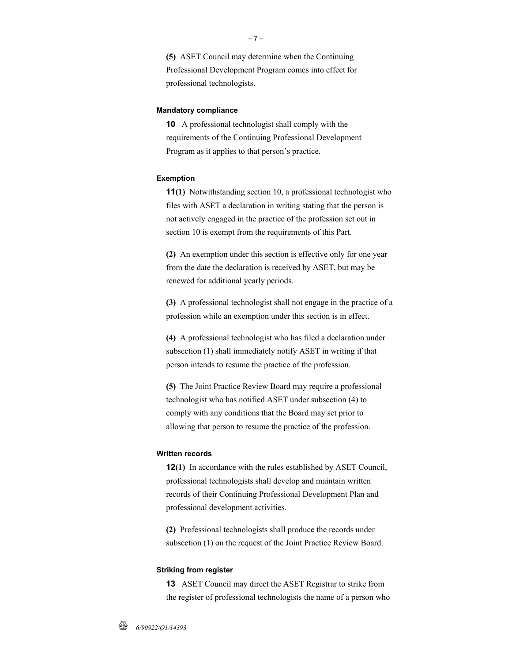**(5)** ASET Council may determine when the Continuing Professional Development Program comes into effect for professional technologists.

### **Mandatory compliance**

**10** A professional technologist shall comply with the requirements of the Continuing Professional Development Program as it applies to that person's practice.

#### **Exemption**

**11(1)** Notwithstanding section 10, a professional technologist who files with ASET a declaration in writing stating that the person is not actively engaged in the practice of the profession set out in section 10 is exempt from the requirements of this Part.

**(2)** An exemption under this section is effective only for one year from the date the declaration is received by ASET, but may be renewed for additional yearly periods.

**(3)** A professional technologist shall not engage in the practice of a profession while an exemption under this section is in effect.

**(4)** A professional technologist who has filed a declaration under subsection (1) shall immediately notify ASET in writing if that person intends to resume the practice of the profession.

**(5)** The Joint Practice Review Board may require a professional technologist who has notified ASET under subsection (4) to comply with any conditions that the Board may set prior to allowing that person to resume the practice of the profession.

#### **Written records**

**12(1)** In accordance with the rules established by ASET Council, professional technologists shall develop and maintain written records of their Continuing Professional Development Plan and professional development activities.

**(2)** Professional technologists shall produce the records under subsection (1) on the request of the Joint Practice Review Board.

### **Striking from register**

**13** ASET Council may direct the ASET Registrar to strike from the register of professional technologists the name of a person who

– 7 –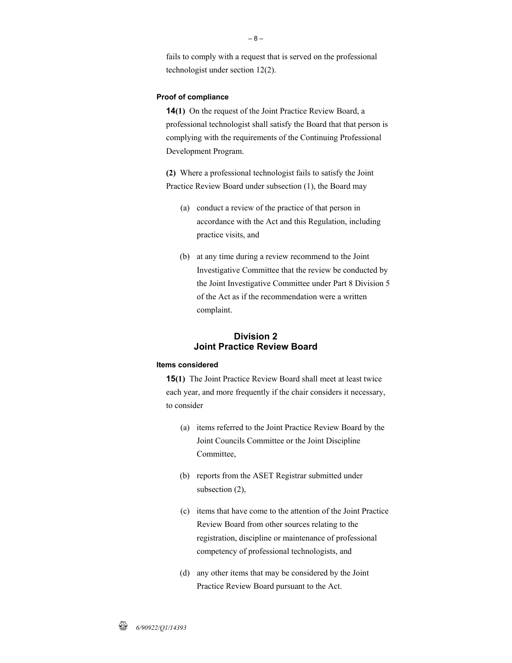fails to comply with a request that is served on the professional technologist under section 12(2).

#### **Proof of compliance**

**14(1)** On the request of the Joint Practice Review Board, a professional technologist shall satisfy the Board that that person is complying with the requirements of the Continuing Professional Development Program.

**(2)** Where a professional technologist fails to satisfy the Joint Practice Review Board under subsection (1), the Board may

- (a) conduct a review of the practice of that person in accordance with the Act and this Regulation, including practice visits, and
- (b) at any time during a review recommend to the Joint Investigative Committee that the review be conducted by the Joint Investigative Committee under Part 8 Division 5 of the Act as if the recommendation were a written complaint.

### **Division 2 Joint Practice Review Board**

### **Items considered**

**15(1)** The Joint Practice Review Board shall meet at least twice each year, and more frequently if the chair considers it necessary, to consider

- (a) items referred to the Joint Practice Review Board by the Joint Councils Committee or the Joint Discipline Committee,
- (b) reports from the ASET Registrar submitted under subsection (2),
- (c) items that have come to the attention of the Joint Practice Review Board from other sources relating to the registration, discipline or maintenance of professional competency of professional technologists, and
- (d) any other items that may be considered by the Joint Practice Review Board pursuant to the Act.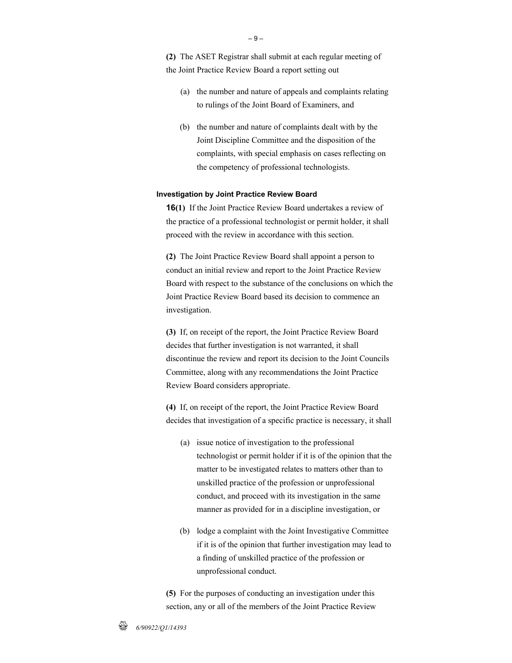**(2)** The ASET Registrar shall submit at each regular meeting of the Joint Practice Review Board a report setting out

- (a) the number and nature of appeals and complaints relating to rulings of the Joint Board of Examiners, and
- (b) the number and nature of complaints dealt with by the Joint Discipline Committee and the disposition of the complaints, with special emphasis on cases reflecting on the competency of professional technologists.

#### **Investigation by Joint Practice Review Board**

**16(1)** If the Joint Practice Review Board undertakes a review of the practice of a professional technologist or permit holder, it shall proceed with the review in accordance with this section.

**(2)** The Joint Practice Review Board shall appoint a person to conduct an initial review and report to the Joint Practice Review Board with respect to the substance of the conclusions on which the Joint Practice Review Board based its decision to commence an investigation.

**(3)** If, on receipt of the report, the Joint Practice Review Board decides that further investigation is not warranted, it shall discontinue the review and report its decision to the Joint Councils Committee, along with any recommendations the Joint Practice Review Board considers appropriate.

**(4)** If, on receipt of the report, the Joint Practice Review Board decides that investigation of a specific practice is necessary, it shall

- (a) issue notice of investigation to the professional technologist or permit holder if it is of the opinion that the matter to be investigated relates to matters other than to unskilled practice of the profession or unprofessional conduct, and proceed with its investigation in the same manner as provided for in a discipline investigation, or
- (b) lodge a complaint with the Joint Investigative Committee if it is of the opinion that further investigation may lead to a finding of unskilled practice of the profession or unprofessional conduct.

**(5)** For the purposes of conducting an investigation under this section, any or all of the members of the Joint Practice Review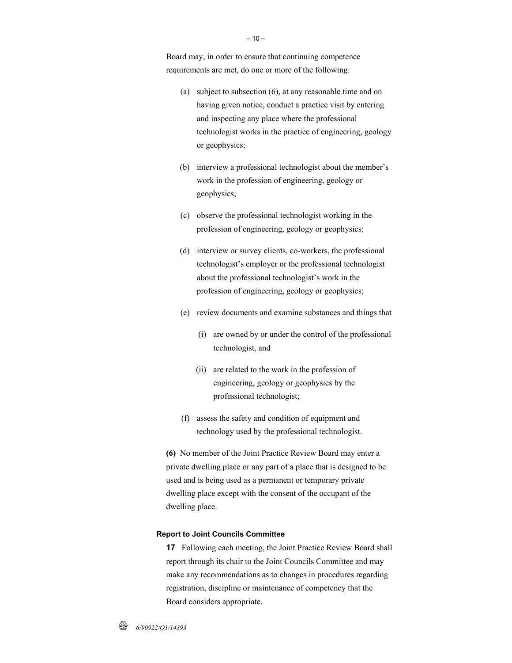Board may, in order to ensure that continuing competence requirements are met, do one or more of the following:

- (a) subject to subsection (6), at any reasonable time and on having given notice, conduct a practice visit by entering and inspecting any place where the professional technologist works in the practice of engineering, geology or geophysics;
- (b) interview a professional technologist about the member's work in the profession of engineering, geology or geophysics;
- (c) observe the professional technologist working in the profession of engineering, geology or geophysics;
- (d) interview or survey clients, co-workers, the professional technologist's employer or the professional technologist about the professional technologist's work in the profession of engineering, geology or geophysics;
- (e) review documents and examine substances and things that
	- (i) are owned by or under the control of the professional technologist, and
	- (ii) are related to the work in the profession of engineering, geology or geophysics by the professional technologist;
- (f) assess the safety and condition of equipment and technology used by the professional technologist.

**(6)** No member of the Joint Practice Review Board may enter a private dwelling place or any part of a place that is designed to be used and is being used as a permanent or temporary private dwelling place except with the consent of the occupant of the dwelling place.

### **Report to Joint Councils Committee**

**17** Following each meeting, the Joint Practice Review Board shall report through its chair to the Joint Councils Committee and may make any recommendations as to changes in procedures regarding registration, discipline or maintenance of competency that the Board considers appropriate.

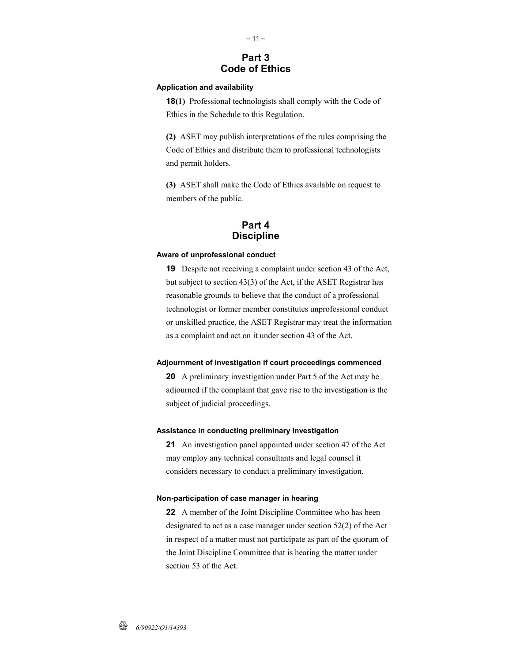# **Part 3 Code of Ethics**

### **Application and availability**

**18(1)** Professional technologists shall comply with the Code of Ethics in the Schedule to this Regulation.

**(2)** ASET may publish interpretations of the rules comprising the Code of Ethics and distribute them to professional technologists and permit holders.

**(3)** ASET shall make the Code of Ethics available on request to members of the public.

## **Part 4 Discipline**

### **Aware of unprofessional conduct**

**19** Despite not receiving a complaint under section 43 of the Act, but subject to section 43(3) of the Act, if the ASET Registrar has reasonable grounds to believe that the conduct of a professional technologist or former member constitutes unprofessional conduct or unskilled practice, the ASET Registrar may treat the information as a complaint and act on it under section 43 of the Act.

#### **Adjournment of investigation if court proceedings commenced**

**20** A preliminary investigation under Part 5 of the Act may be adjourned if the complaint that gave rise to the investigation is the subject of judicial proceedings.

#### **Assistance in conducting preliminary investigation**

**21** An investigation panel appointed under section 47 of the Act may employ any technical consultants and legal counsel it considers necessary to conduct a preliminary investigation.

#### **Non-participation of case manager in hearing**

**22** A member of the Joint Discipline Committee who has been designated to act as a case manager under section 52(2) of the Act in respect of a matter must not participate as part of the quorum of the Joint Discipline Committee that is hearing the matter under section 53 of the Act.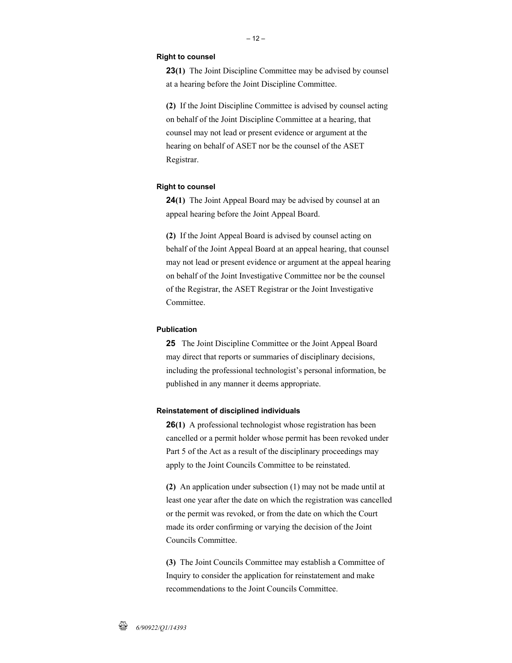#### **Right to counsel**

**23(1)** The Joint Discipline Committee may be advised by counsel at a hearing before the Joint Discipline Committee.

**(2)** If the Joint Discipline Committee is advised by counsel acting on behalf of the Joint Discipline Committee at a hearing, that counsel may not lead or present evidence or argument at the hearing on behalf of ASET nor be the counsel of the ASET Registrar.

#### **Right to counsel**

**24(1)** The Joint Appeal Board may be advised by counsel at an appeal hearing before the Joint Appeal Board.

**(2)** If the Joint Appeal Board is advised by counsel acting on behalf of the Joint Appeal Board at an appeal hearing, that counsel may not lead or present evidence or argument at the appeal hearing on behalf of the Joint Investigative Committee nor be the counsel of the Registrar, the ASET Registrar or the Joint Investigative Committee.

### **Publication**

**25** The Joint Discipline Committee or the Joint Appeal Board may direct that reports or summaries of disciplinary decisions, including the professional technologist's personal information, be published in any manner it deems appropriate.

#### **Reinstatement of disciplined individuals**

**26(1)** A professional technologist whose registration has been cancelled or a permit holder whose permit has been revoked under Part 5 of the Act as a result of the disciplinary proceedings may apply to the Joint Councils Committee to be reinstated.

**(2)** An application under subsection (1) may not be made until at least one year after the date on which the registration was cancelled or the permit was revoked, or from the date on which the Court made its order confirming or varying the decision of the Joint Councils Committee.

**(3)** The Joint Councils Committee may establish a Committee of Inquiry to consider the application for reinstatement and make recommendations to the Joint Councils Committee.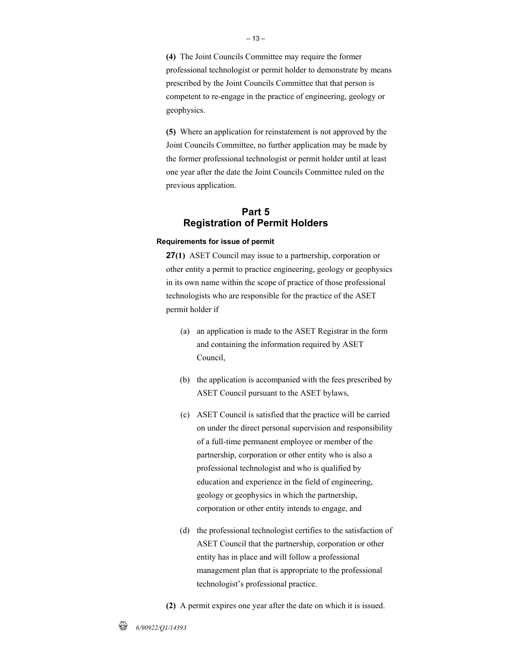**(4)** The Joint Councils Committee may require the former professional technologist or permit holder to demonstrate by means prescribed by the Joint Councils Committee that that person is competent to re-engage in the practice of engineering, geology or geophysics.

**(5)** Where an application for reinstatement is not approved by the Joint Councils Committee, no further application may be made by the former professional technologist or permit holder until at least one year after the date the Joint Councils Committee ruled on the previous application.

# **Part 5 Registration of Permit Holders**

#### **Requirements for issue of permit**

**27(1)** ASET Council may issue to a partnership, corporation or other entity a permit to practice engineering, geology or geophysics in its own name within the scope of practice of those professional technologists who are responsible for the practice of the ASET permit holder if

- (a) an application is made to the ASET Registrar in the form and containing the information required by ASET Council,
- (b) the application is accompanied with the fees prescribed by ASET Council pursuant to the ASET bylaws,
- (c) ASET Council is satisfied that the practice will be carried on under the direct personal supervision and responsibility of a full-time permanent employee or member of the partnership, corporation or other entity who is also a professional technologist and who is qualified by education and experience in the field of engineering, geology or geophysics in which the partnership, corporation or other entity intends to engage, and
- (d) the professional technologist certifies to the satisfaction of ASET Council that the partnership, corporation or other entity has in place and will follow a professional management plan that is appropriate to the professional technologist's professional practice.
- **(2)** A permit expires one year after the date on which it is issued.

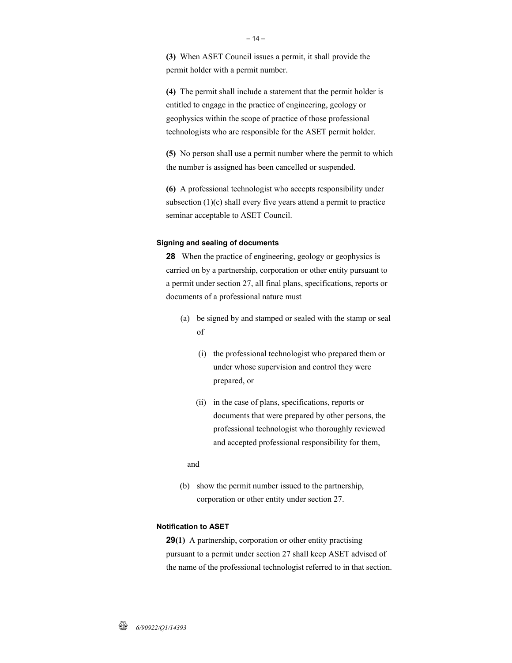**(3)** When ASET Council issues a permit, it shall provide the permit holder with a permit number.

**(4)** The permit shall include a statement that the permit holder is entitled to engage in the practice of engineering, geology or geophysics within the scope of practice of those professional technologists who are responsible for the ASET permit holder.

**(5)** No person shall use a permit number where the permit to which the number is assigned has been cancelled or suspended.

**(6)** A professional technologist who accepts responsibility under subsection (1)(c) shall every five years attend a permit to practice seminar acceptable to ASET Council.

#### **Signing and sealing of documents**

**28** When the practice of engineering, geology or geophysics is carried on by a partnership, corporation or other entity pursuant to a permit under section 27, all final plans, specifications, reports or documents of a professional nature must

- (a) be signed by and stamped or sealed with the stamp or seal of
	- (i) the professional technologist who prepared them or under whose supervision and control they were prepared, or
	- (ii) in the case of plans, specifications, reports or documents that were prepared by other persons, the professional technologist who thoroughly reviewed and accepted professional responsibility for them,

and

 (b) show the permit number issued to the partnership, corporation or other entity under section 27.

### **Notification to ASET**

**29(1)** A partnership, corporation or other entity practising pursuant to a permit under section 27 shall keep ASET advised of the name of the professional technologist referred to in that section.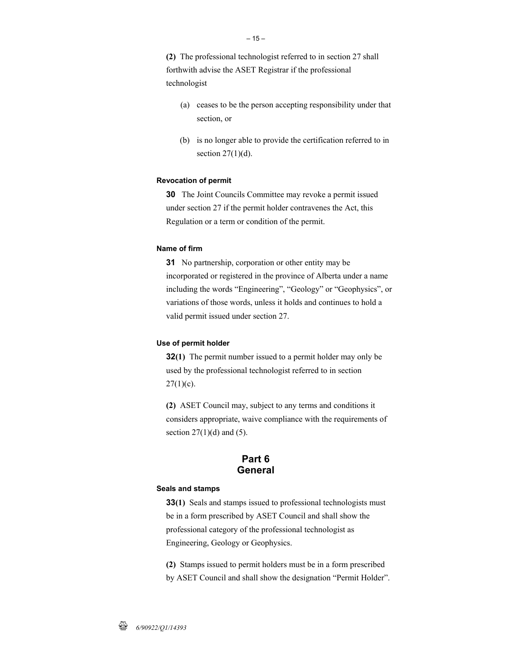**(2)** The professional technologist referred to in section 27 shall forthwith advise the ASET Registrar if the professional technologist

- (a) ceases to be the person accepting responsibility under that section, or
- (b) is no longer able to provide the certification referred to in section  $27(1)(d)$ .

### **Revocation of permit**

**30** The Joint Councils Committee may revoke a permit issued under section 27 if the permit holder contravenes the Act, this Regulation or a term or condition of the permit.

### **Name of firm**

**31** No partnership, corporation or other entity may be incorporated or registered in the province of Alberta under a name including the words "Engineering", "Geology" or "Geophysics", or variations of those words, unless it holds and continues to hold a valid permit issued under section 27.

### **Use of permit holder**

**32(1)** The permit number issued to a permit holder may only be used by the professional technologist referred to in section  $27(1)(c)$ .

**(2)** ASET Council may, subject to any terms and conditions it considers appropriate, waive compliance with the requirements of section  $27(1)(d)$  and  $(5)$ .

## **Part 6 General**

#### **Seals and stamps**

**33(1)** Seals and stamps issued to professional technologists must be in a form prescribed by ASET Council and shall show the professional category of the professional technologist as Engineering, Geology or Geophysics.

**(2)** Stamps issued to permit holders must be in a form prescribed

by ASET Council and shall show the designation "Permit Holder".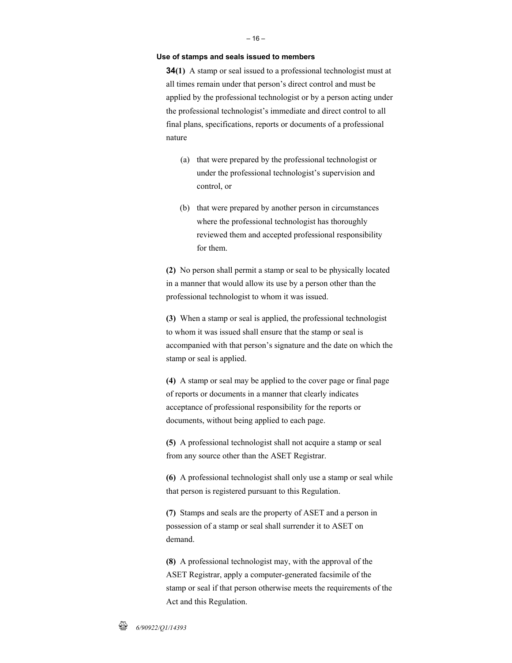#### **Use of stamps and seals issued to members**

**34(1)** A stamp or seal issued to a professional technologist must at all times remain under that person's direct control and must be applied by the professional technologist or by a person acting under the professional technologist's immediate and direct control to all final plans, specifications, reports or documents of a professional nature

- (a) that were prepared by the professional technologist or under the professional technologist's supervision and control, or
- (b) that were prepared by another person in circumstances where the professional technologist has thoroughly reviewed them and accepted professional responsibility for them.

**(2)** No person shall permit a stamp or seal to be physically located in a manner that would allow its use by a person other than the professional technologist to whom it was issued.

**(3)** When a stamp or seal is applied, the professional technologist to whom it was issued shall ensure that the stamp or seal is accompanied with that person's signature and the date on which the stamp or seal is applied.

**(4)** A stamp or seal may be applied to the cover page or final page of reports or documents in a manner that clearly indicates acceptance of professional responsibility for the reports or documents, without being applied to each page.

**(5)** A professional technologist shall not acquire a stamp or seal from any source other than the ASET Registrar.

**(6)** A professional technologist shall only use a stamp or seal while that person is registered pursuant to this Regulation.

**(7)** Stamps and seals are the property of ASET and a person in possession of a stamp or seal shall surrender it to ASET on demand.

**(8)** A professional technologist may, with the approval of the ASET Registrar, apply a computer-generated facsimile of the stamp or seal if that person otherwise meets the requirements of the Act and this Regulation.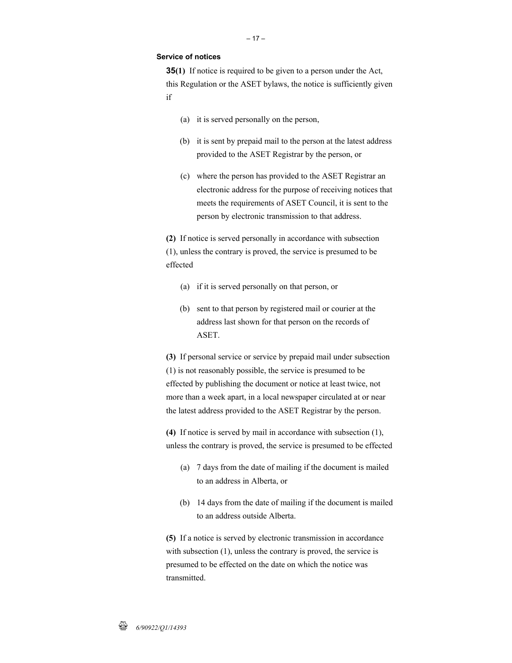### **Service of notices**

**35(1)** If notice is required to be given to a person under the Act, this Regulation or the ASET bylaws, the notice is sufficiently given if

- (a) it is served personally on the person,
- (b) it is sent by prepaid mail to the person at the latest address provided to the ASET Registrar by the person, or
- (c) where the person has provided to the ASET Registrar an electronic address for the purpose of receiving notices that meets the requirements of ASET Council, it is sent to the person by electronic transmission to that address.

**(2)** If notice is served personally in accordance with subsection (1), unless the contrary is proved, the service is presumed to be effected

- (a) if it is served personally on that person, or
- (b) sent to that person by registered mail or courier at the address last shown for that person on the records of ASET.

**(3)** If personal service or service by prepaid mail under subsection (1) is not reasonably possible, the service is presumed to be effected by publishing the document or notice at least twice, not more than a week apart, in a local newspaper circulated at or near the latest address provided to the ASET Registrar by the person.

**(4)** If notice is served by mail in accordance with subsection (1), unless the contrary is proved, the service is presumed to be effected

- (a) 7 days from the date of mailing if the document is mailed to an address in Alberta, or
- (b) 14 days from the date of mailing if the document is mailed to an address outside Alberta.

**(5)** If a notice is served by electronic transmission in accordance with subsection  $(1)$ , unless the contrary is proved, the service is presumed to be effected on the date on which the notice was transmitted.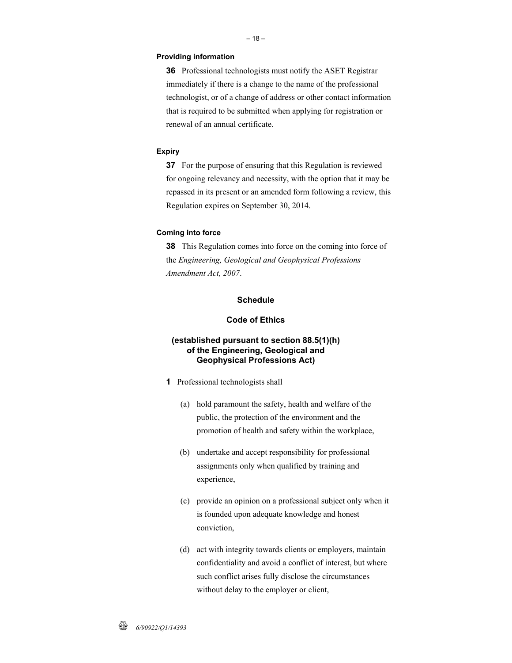#### **Providing information**

**36** Professional technologists must notify the ASET Registrar immediately if there is a change to the name of the professional technologist, or of a change of address or other contact information that is required to be submitted when applying for registration or renewal of an annual certificate.

### **Expiry**

**37** For the purpose of ensuring that this Regulation is reviewed for ongoing relevancy and necessity, with the option that it may be repassed in its present or an amended form following a review, this Regulation expires on September 30, 2014.

### **Coming into force**

**38** This Regulation comes into force on the coming into force of the *Engineering, Geological and Geophysical Professions Amendment Act, 2007*.

### **Schedule**

### **Code of Ethics**

### **(established pursuant to section 88.5(1)(h) of the Engineering, Geological and Geophysical Professions Act)**

- **1** Professional technologists shall
	- (a) hold paramount the safety, health and welfare of the public, the protection of the environment and the promotion of health and safety within the workplace,
	- (b) undertake and accept responsibility for professional assignments only when qualified by training and experience,
	- (c) provide an opinion on a professional subject only when it is founded upon adequate knowledge and honest conviction,
	- (d) act with integrity towards clients or employers, maintain confidentiality and avoid a conflict of interest, but where such conflict arises fully disclose the circumstances without delay to the employer or client,